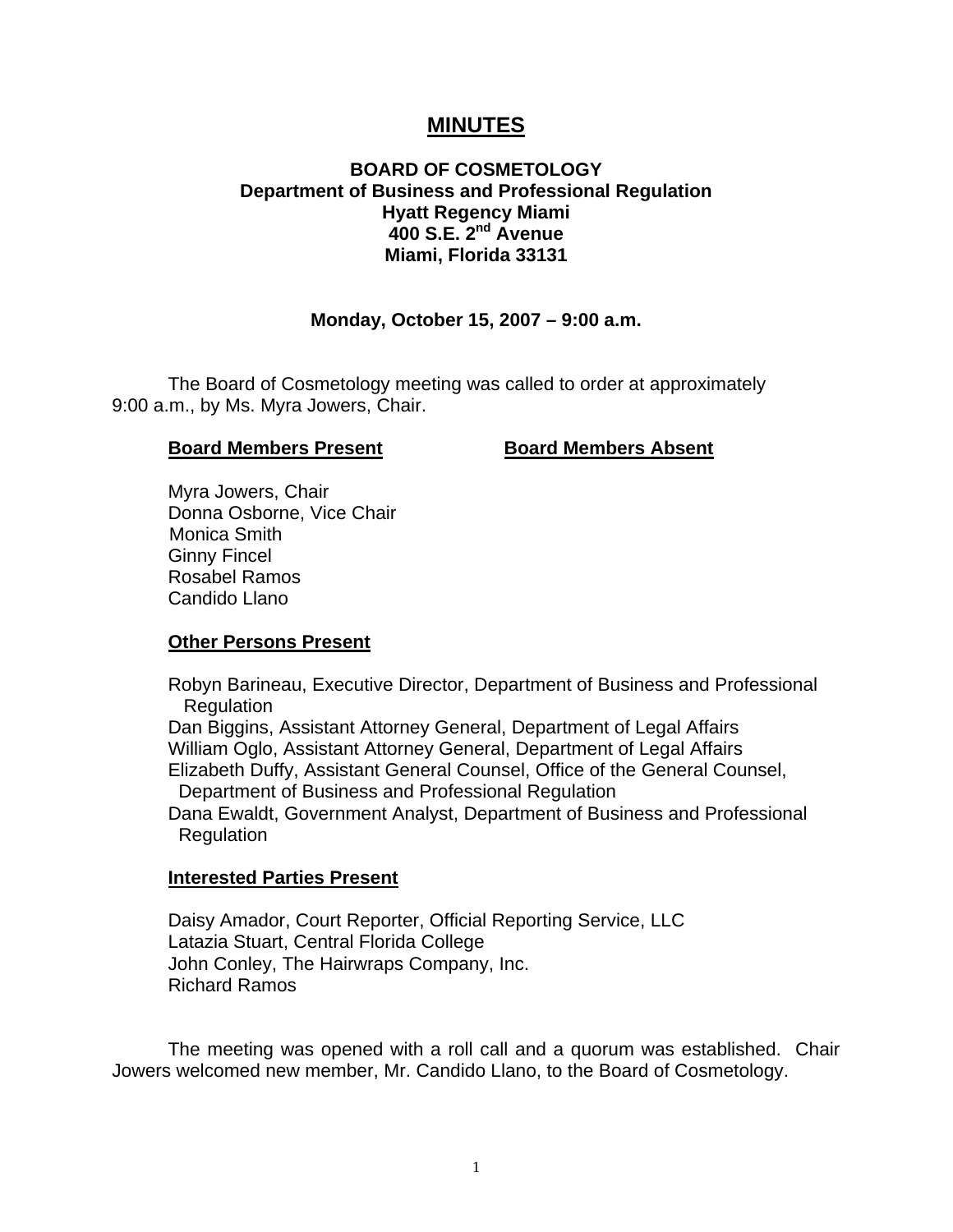# **MINUTES**

# **BOARD OF COSMETOLOGY Department of Business and Professional Regulation Hyatt Regency Miami 400 S.E. 2nd Avenue Miami, Florida 33131**

# **Monday, October 15, 2007 – 9:00 a.m.**

 The Board of Cosmetology meeting was called to order at approximately 9:00 a.m., by Ms. Myra Jowers, Chair.

#### **Board Members Present Board Members Absent**

 Myra Jowers, Chair Donna Osborne, Vice Chair Monica Smith Ginny Fincel Rosabel Ramos Candido Llano

# **Other Persons Present**

 Robyn Barineau, Executive Director, Department of Business and Professional Regulation Dan Biggins, Assistant Attorney General, Department of Legal Affairs William Oglo, Assistant Attorney General, Department of Legal Affairs Elizabeth Duffy, Assistant General Counsel, Office of the General Counsel, Department of Business and Professional Regulation Dana Ewaldt, Government Analyst, Department of Business and Professional Regulation

# **Interested Parties Present**

Daisy Amador, Court Reporter, Official Reporting Service, LLC Latazia Stuart, Central Florida College John Conley, The Hairwraps Company, Inc. Richard Ramos

 The meeting was opened with a roll call and a quorum was established. Chair Jowers welcomed new member, Mr. Candido Llano, to the Board of Cosmetology.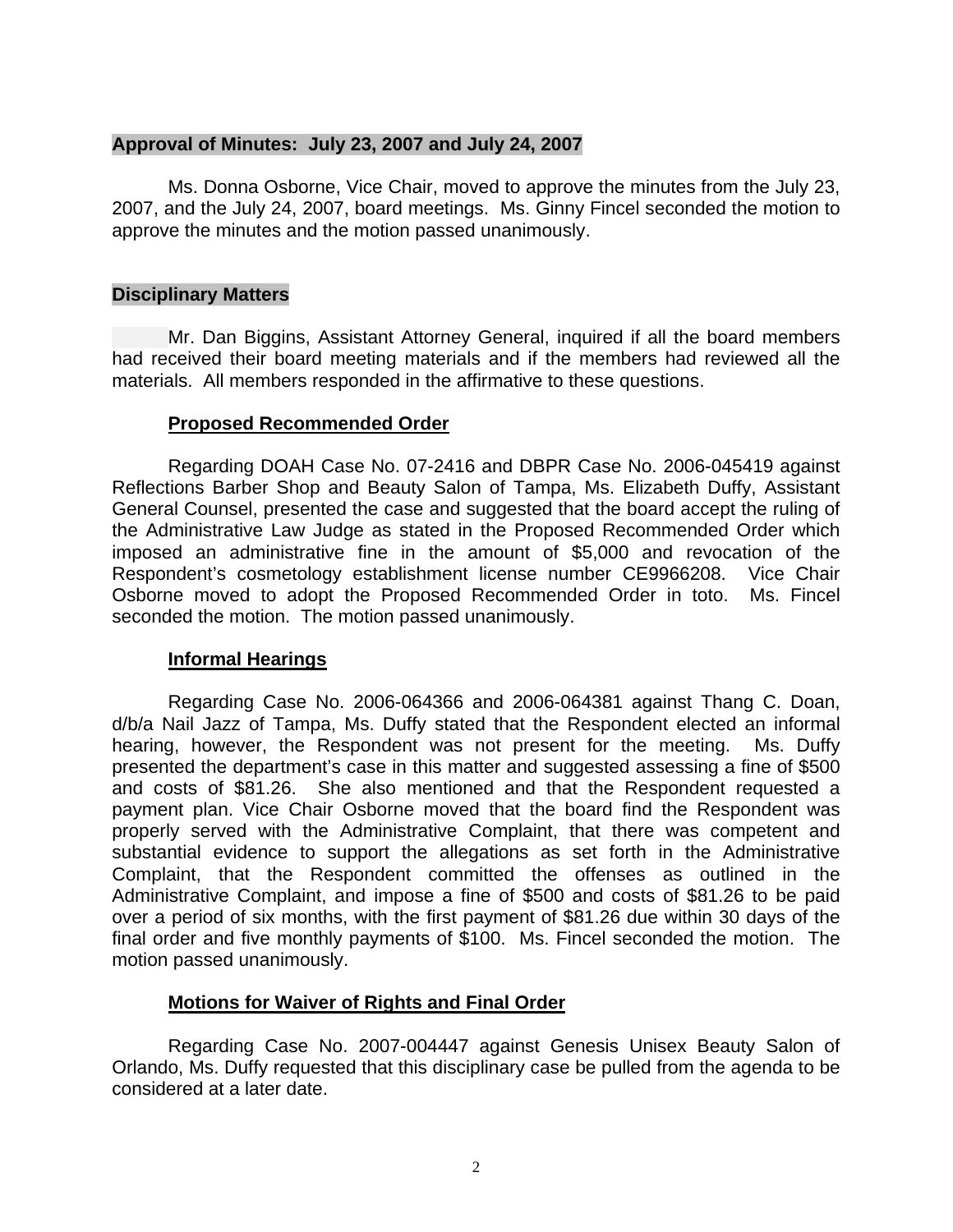#### **Approval of Minutes: July 23, 2007 and July 24, 2007**

Ms. Donna Osborne, Vice Chair, moved to approve the minutes from the July 23, 2007, and the July 24, 2007, board meetings. Ms. Ginny Fincel seconded the motion to approve the minutes and the motion passed unanimously.

# **Disciplinary Matters**

Mr. Dan Biggins, Assistant Attorney General, inquired if all the board members had received their board meeting materials and if the members had reviewed all the materials. All members responded in the affirmative to these questions.

#### **Proposed Recommended Order**

Regarding DOAH Case No. 07-2416 and DBPR Case No. 2006-045419 against Reflections Barber Shop and Beauty Salon of Tampa, Ms. Elizabeth Duffy, Assistant General Counsel, presented the case and suggested that the board accept the ruling of the Administrative Law Judge as stated in the Proposed Recommended Order which imposed an administrative fine in the amount of \$5,000 and revocation of the Respondent's cosmetology establishment license number CE9966208. Vice Chair Osborne moved to adopt the Proposed Recommended Order in toto. Ms. Fincel seconded the motion. The motion passed unanimously.

# **Informal Hearings**

 Regarding Case No. 2006-064366 and 2006-064381 against Thang C. Doan, d/b/a Nail Jazz of Tampa, Ms. Duffy stated that the Respondent elected an informal hearing, however, the Respondent was not present for the meeting. Ms. Duffy presented the department's case in this matter and suggested assessing a fine of \$500 and costs of \$81.26. She also mentioned and that the Respondent requested a payment plan. Vice Chair Osborne moved that the board find the Respondent was properly served with the Administrative Complaint, that there was competent and substantial evidence to support the allegations as set forth in the Administrative Complaint, that the Respondent committed the offenses as outlined in the Administrative Complaint, and impose a fine of \$500 and costs of \$81.26 to be paid over a period of six months, with the first payment of \$81.26 due within 30 days of the final order and five monthly payments of \$100. Ms. Fincel seconded the motion. The motion passed unanimously.

# **Motions for Waiver of Rights and Final Order**

 Regarding Case No. 2007-004447 against Genesis Unisex Beauty Salon of Orlando, Ms. Duffy requested that this disciplinary case be pulled from the agenda to be considered at a later date.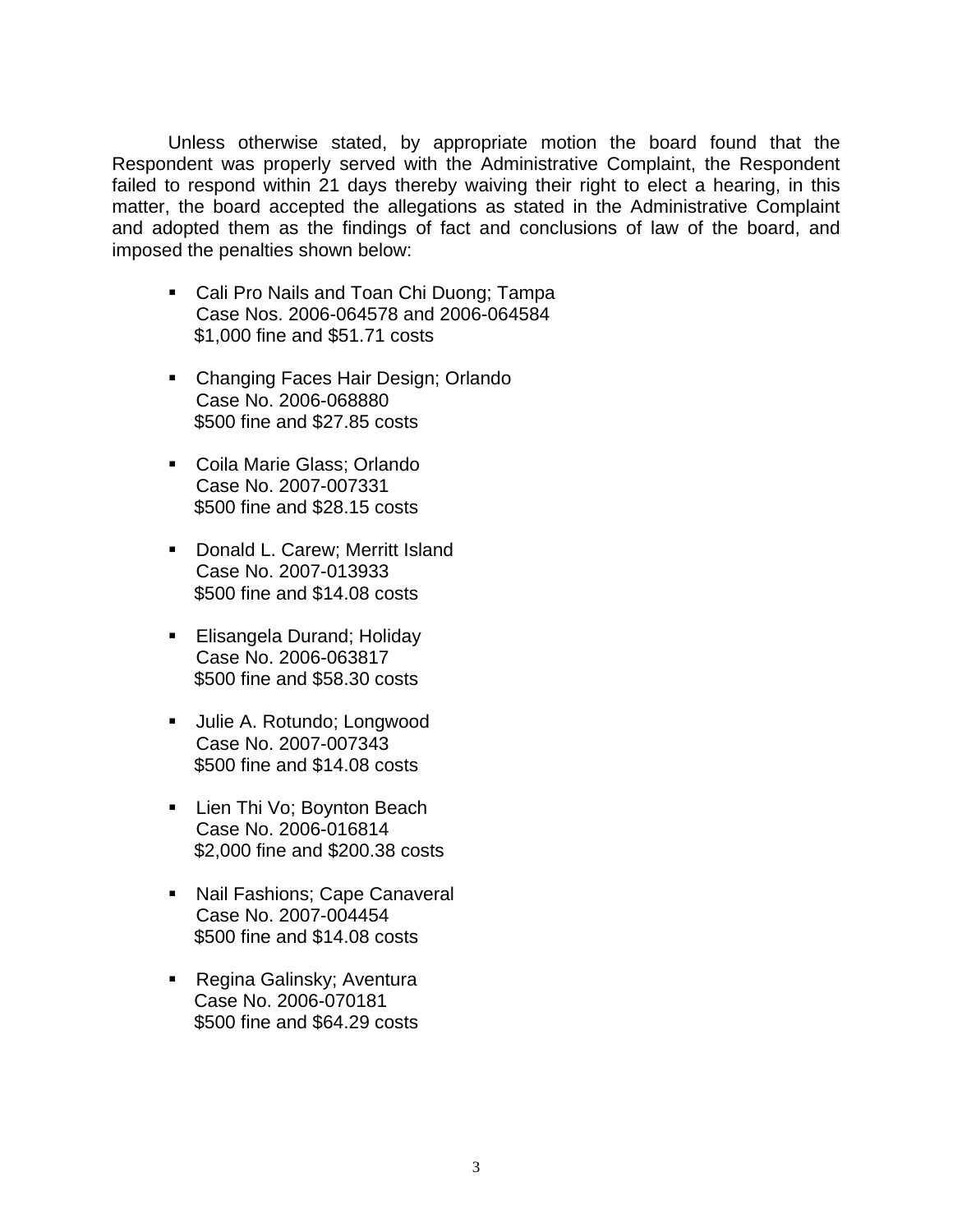Unless otherwise stated, by appropriate motion the board found that the Respondent was properly served with the Administrative Complaint, the Respondent failed to respond within 21 days thereby waiving their right to elect a hearing, in this matter, the board accepted the allegations as stated in the Administrative Complaint and adopted them as the findings of fact and conclusions of law of the board, and imposed the penalties shown below:

- **Cali Pro Nails and Toan Chi Duong: Tampa** Case Nos. 2006-064578 and 2006-064584 \$1,000 fine and \$51.71 costs
- **Changing Faces Hair Design; Orlando** Case No. 2006-068880 \$500 fine and \$27.85 costs
- Coila Marie Glass; Orlando Case No. 2007-007331 \$500 fine and \$28.15 costs
- **Donald L. Carew; Merritt Island** Case No. 2007-013933 \$500 fine and \$14.08 costs
- **Elisangela Durand: Holiday** Case No. 2006-063817 \$500 fine and \$58.30 costs
- **Julie A. Rotundo; Longwood** Case No. 2007-007343 \$500 fine and \$14.08 costs
- **Lien Thi Vo: Boynton Beach** Case No. 2006-016814 \$2,000 fine and \$200.38 costs
- Nail Fashions; Cape Canaveral Case No. 2007-004454 \$500 fine and \$14.08 costs
- Regina Galinsky; Aventura Case No. 2006-070181 \$500 fine and \$64.29 costs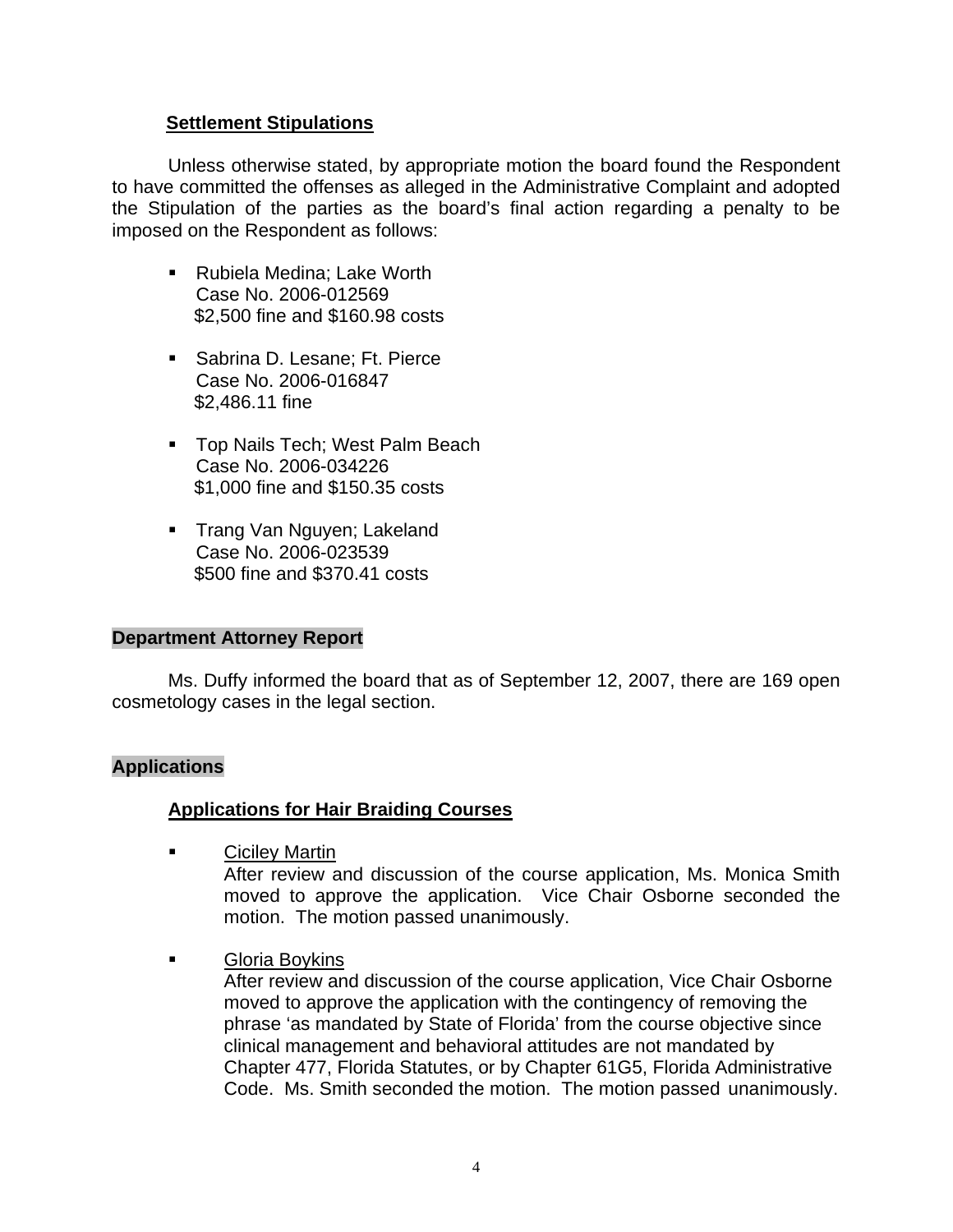# **Settlement Stipulations**

 Unless otherwise stated, by appropriate motion the board found the Respondent to have committed the offenses as alleged in the Administrative Complaint and adopted the Stipulation of the parties as the board's final action regarding a penalty to be imposed on the Respondent as follows:

- Rubiela Medina; Lake Worth Case No. 2006-012569 \$2,500 fine and \$160.98 costs
- **Sabrina D. Lesane; Ft. Pierce** Case No. 2006-016847 \$2,486.11 fine
- **Top Nails Tech; West Palm Beach** Case No. 2006-034226 \$1,000 fine and \$150.35 costs
- **Trang Van Nguyen; Lakeland** Case No. 2006-023539 \$500 fine and \$370.41 costs

# **Department Attorney Report**

Ms. Duffy informed the board that as of September 12, 2007, there are 169 open cosmetology cases in the legal section.

# **Applications**

# **Applications for Hair Braiding Courses**

Ciciley Martin

After review and discussion of the course application, Ms. Monica Smith moved to approve the application. Vice Chair Osborne seconded the motion. The motion passed unanimously.

Gloria Boykins

 After review and discussion of the course application, Vice Chair Osborne moved to approve the application with the contingency of removing the phrase 'as mandated by State of Florida' from the course objective since clinical management and behavioral attitudes are not mandated by Chapter 477, Florida Statutes, or by Chapter 61G5, Florida Administrative Code. Ms. Smith seconded the motion. The motion passed unanimously.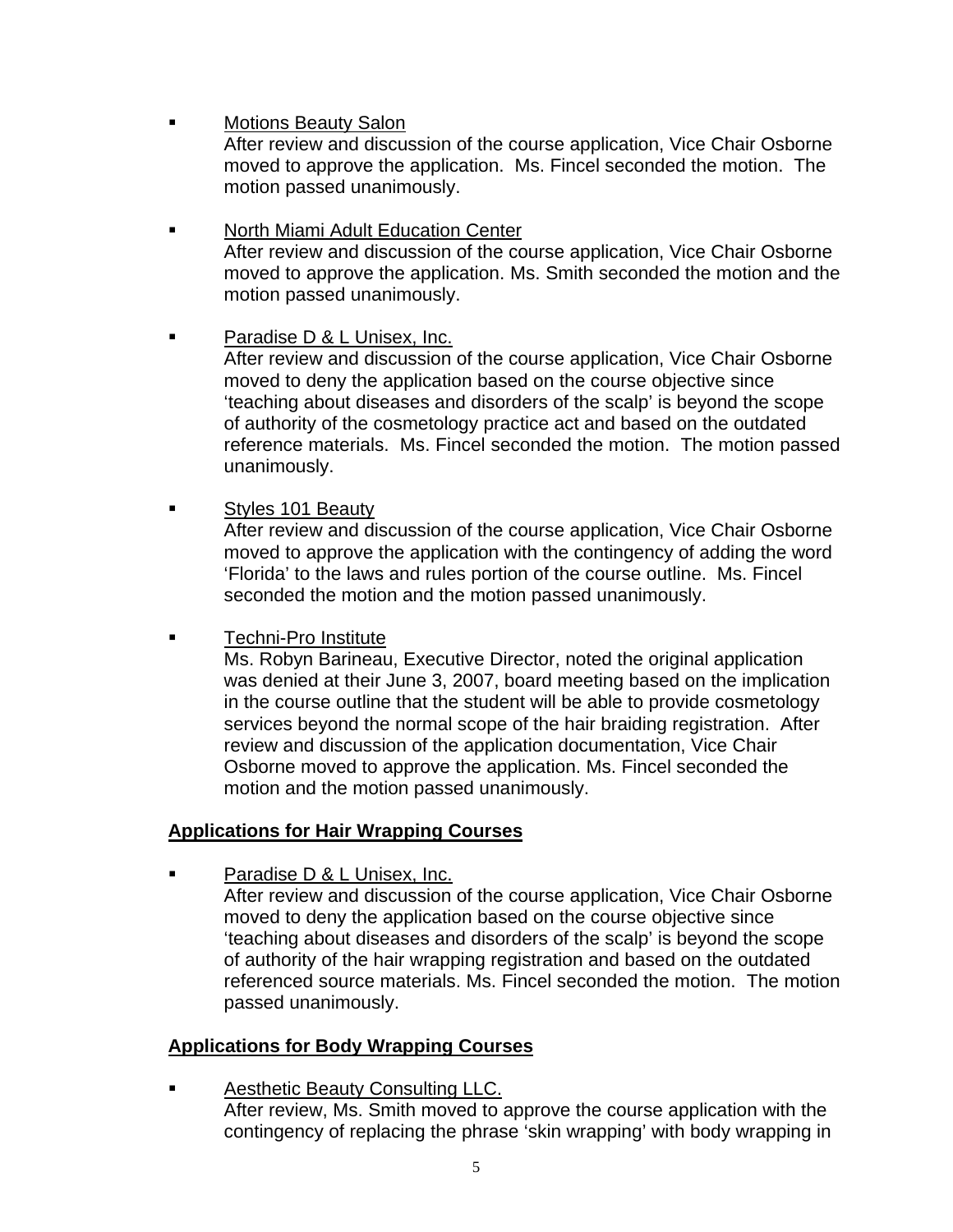**Example 3** Motions Beauty Salon

After review and discussion of the course application, Vice Chair Osborne moved to approve the application. Ms. Fincel seconded the motion. The motion passed unanimously.

 North Miami Adult Education Center After review and discussion of the course application, Vice Chair Osborne moved to approve the application. Ms. Smith seconded the motion and the motion passed unanimously.

Paradise D & L Unisex, Inc.

 After review and discussion of the course application, Vice Chair Osborne moved to deny the application based on the course objective since 'teaching about diseases and disorders of the scalp' is beyond the scope of authority of the cosmetology practice act and based on the outdated reference materials. Ms. Fincel seconded the motion. The motion passed unanimously.

**Styles 101 Beauty** 

After review and discussion of the course application, Vice Chair Osborne moved to approve the application with the contingency of adding the word 'Florida' to the laws and rules portion of the course outline. Ms. Fincel seconded the motion and the motion passed unanimously.

**Techni-Pro Institute** 

 Ms. Robyn Barineau, Executive Director, noted the original application was denied at their June 3, 2007, board meeting based on the implication in the course outline that the student will be able to provide cosmetology services beyond the normal scope of the hair braiding registration. After review and discussion of the application documentation, Vice Chair Osborne moved to approve the application. Ms. Fincel seconded the motion and the motion passed unanimously.

# **Applications for Hair Wrapping Courses**

Paradise D & L Unisex, Inc.

 After review and discussion of the course application, Vice Chair Osborne moved to deny the application based on the course objective since 'teaching about diseases and disorders of the scalp' is beyond the scope of authority of the hair wrapping registration and based on the outdated referenced source materials. Ms. Fincel seconded the motion. The motion passed unanimously.

# **Applications for Body Wrapping Courses**

 Aesthetic Beauty Consulting LLC. After review, Ms. Smith moved to approve the course application with the contingency of replacing the phrase 'skin wrapping' with body wrapping in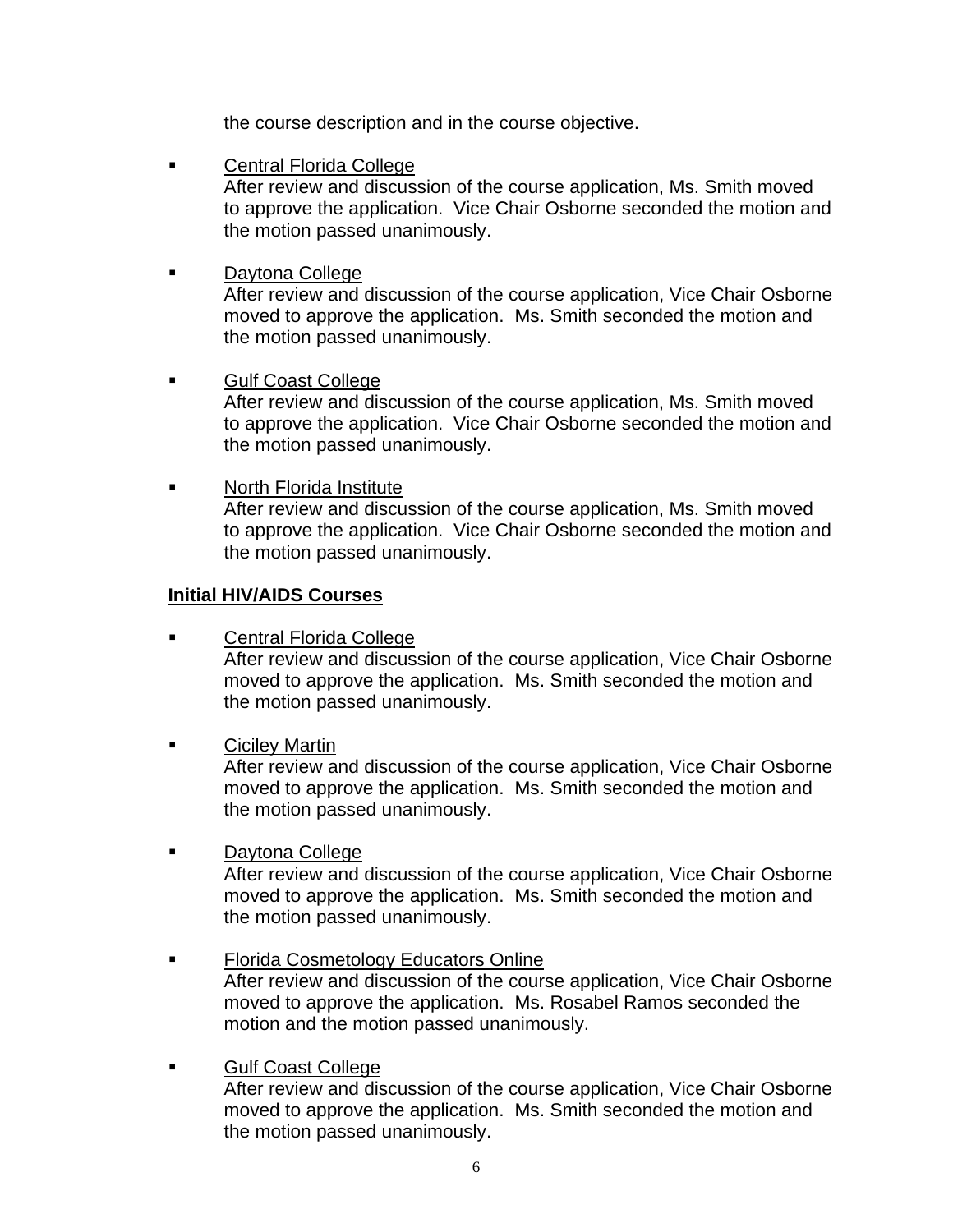the course description and in the course objective.

**Example 21 Central Florida College** 

 After review and discussion of the course application, Ms. Smith moved to approve the application. Vice Chair Osborne seconded the motion and the motion passed unanimously.

**Daytona College** 

 After review and discussion of the course application, Vice Chair Osborne moved to approve the application. Ms. Smith seconded the motion and the motion passed unanimously.

Gulf Coast College

 After review and discussion of the course application, Ms. Smith moved to approve the application. Vice Chair Osborne seconded the motion and the motion passed unanimously.

**North Florida Institute**  After review and discussion of the course application, Ms. Smith moved to approve the application. Vice Chair Osborne seconded the motion and the motion passed unanimously.

#### **Initial HIV/AIDS Courses**

- **Example 2** Central Florida College After review and discussion of the course application, Vice Chair Osborne moved to approve the application. Ms. Smith seconded the motion and the motion passed unanimously.
- Ciciley Martin

 After review and discussion of the course application, Vice Chair Osborne moved to approve the application. Ms. Smith seconded the motion and the motion passed unanimously.

**Daytona College** 

 After review and discussion of the course application, Vice Chair Osborne moved to approve the application. Ms. Smith seconded the motion and the motion passed unanimously.

- Florida Cosmetology Educators Online After review and discussion of the course application, Vice Chair Osborne moved to approve the application. Ms. Rosabel Ramos seconded the motion and the motion passed unanimously.
- **Gulf Coast College**  After review and discussion of the course application, Vice Chair Osborne moved to approve the application. Ms. Smith seconded the motion and the motion passed unanimously.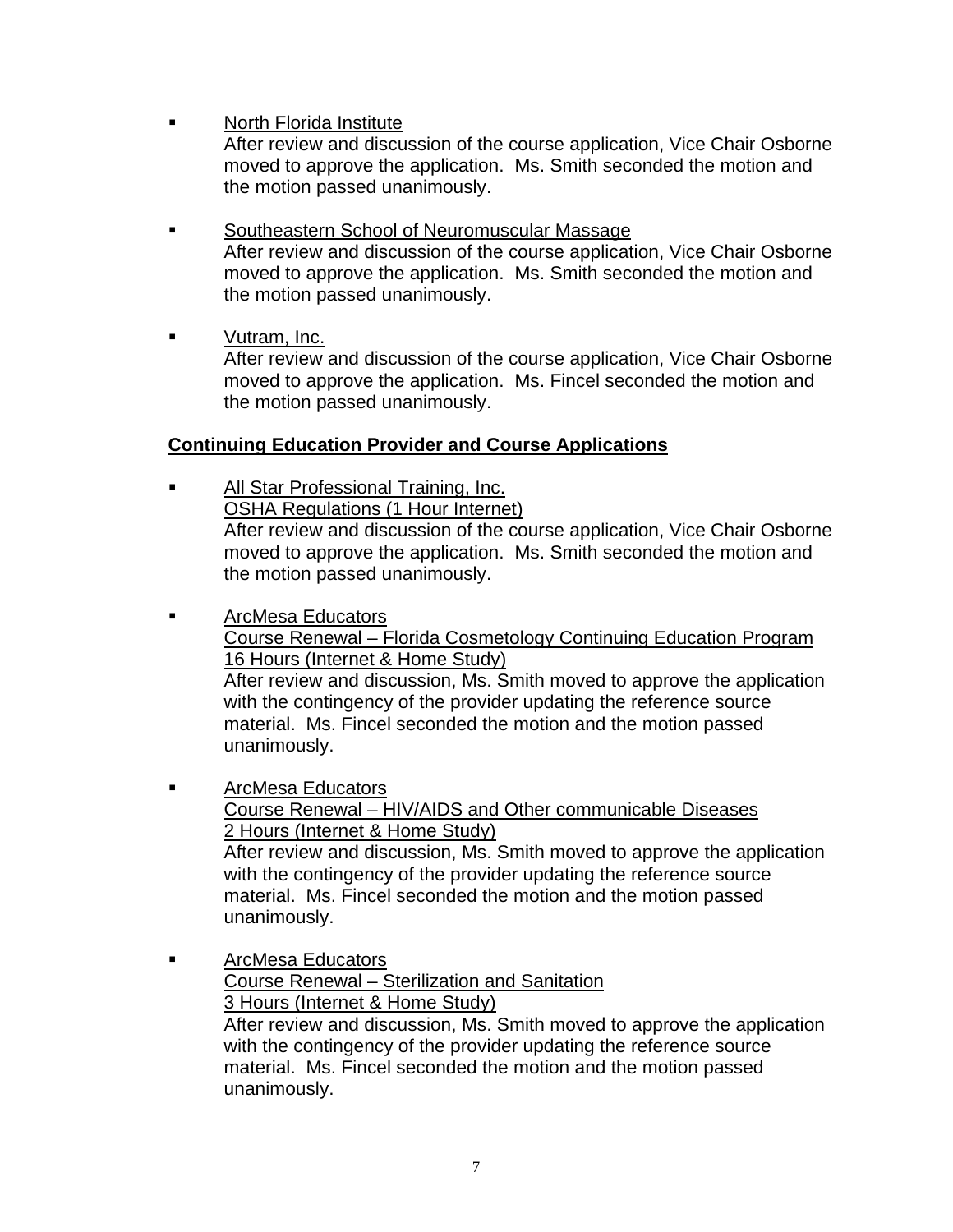**North Florida Institute** 

 After review and discussion of the course application, Vice Chair Osborne moved to approve the application. Ms. Smith seconded the motion and the motion passed unanimously.

- Southeastern School of Neuromuscular Massage After review and discussion of the course application, Vice Chair Osborne moved to approve the application. Ms. Smith seconded the motion and the motion passed unanimously.
- **vutram, Inc.**

 After review and discussion of the course application, Vice Chair Osborne moved to approve the application. Ms. Fincel seconded the motion and the motion passed unanimously.

# **Continuing Education Provider and Course Applications**

- **All Star Professional Training, Inc.**  OSHA Regulations (1 Hour Internet) After review and discussion of the course application, Vice Chair Osborne moved to approve the application. Ms. Smith seconded the motion and the motion passed unanimously.
- ArcMesa Educators Course Renewal – Florida Cosmetology Continuing Education Program 16 Hours (Internet & Home Study) After review and discussion, Ms. Smith moved to approve the application

 with the contingency of the provider updating the reference source material. Ms. Fincel seconded the motion and the motion passed unanimously.

- **Example 3 ArcMesa Educators**  Course Renewal – HIV/AIDS and Other communicable Diseases 2 Hours (Internet & Home Study) After review and discussion, Ms. Smith moved to approve the application with the contingency of the provider updating the reference source material. Ms. Fincel seconded the motion and the motion passed unanimously.
- **Example 3 ArcMesa Educators**  Course Renewal – Sterilization and Sanitation 3 Hours (Internet & Home Study) After review and discussion, Ms. Smith moved to approve the application with the contingency of the provider updating the reference source material. Ms. Fincel seconded the motion and the motion passed unanimously.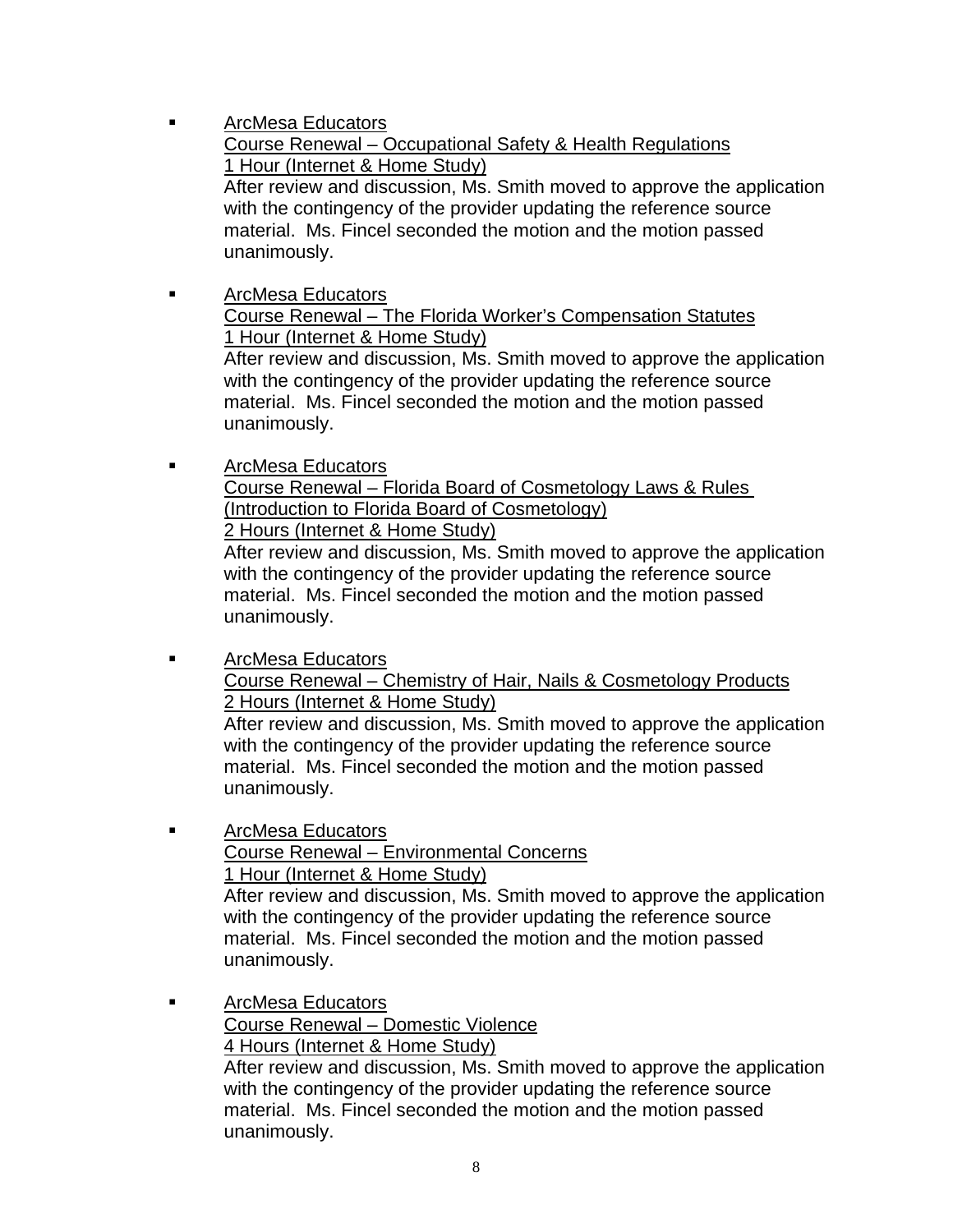- **Example 3 ArcMesa Educators**  Course Renewal – Occupational Safety & Health Regulations 1 Hour (Internet & Home Study) After review and discussion, Ms. Smith moved to approve the application with the contingency of the provider updating the reference source material. Ms. Fincel seconded the motion and the motion passed unanimously.
- **Example 3 ArcMesa Educators**  Course Renewal – The Florida Worker's Compensation Statutes 1 Hour (Internet & Home Study) After review and discussion, Ms. Smith moved to approve the application with the contingency of the provider updating the reference source

 material. Ms. Fincel seconded the motion and the motion passed unanimously.

 ArcMesa Educators Course Renewal – Florida Board of Cosmetology Laws & Rules (Introduction to Florida Board of Cosmetology) 2 Hours (Internet & Home Study) After review and discussion, Ms. Smith moved to approve the application

 with the contingency of the provider updating the reference source material. Ms. Fincel seconded the motion and the motion passed unanimously.

**Example 3 ArcMesa Educators**  Course Renewal – Chemistry of Hair, Nails & Cosmetology Products 2 Hours (Internet & Home Study) After review and discussion, Ms. Smith moved to approve the application

 with the contingency of the provider updating the reference source material. Ms. Fincel seconded the motion and the motion passed unanimously.

**Example 3 ArcMesa Educators**  Course Renewal – Environmental Concerns 1 Hour (Internet & Home Study) After review and discussion, Ms. Smith moved to approve the application

 with the contingency of the provider updating the reference source material. Ms. Fincel seconded the motion and the motion passed unanimously.

**Example 3 ArcMesa Educators** 

 Course Renewal – Domestic Violence 4 Hours (Internet & Home Study)

 After review and discussion, Ms. Smith moved to approve the application with the contingency of the provider updating the reference source material. Ms. Fincel seconded the motion and the motion passed unanimously.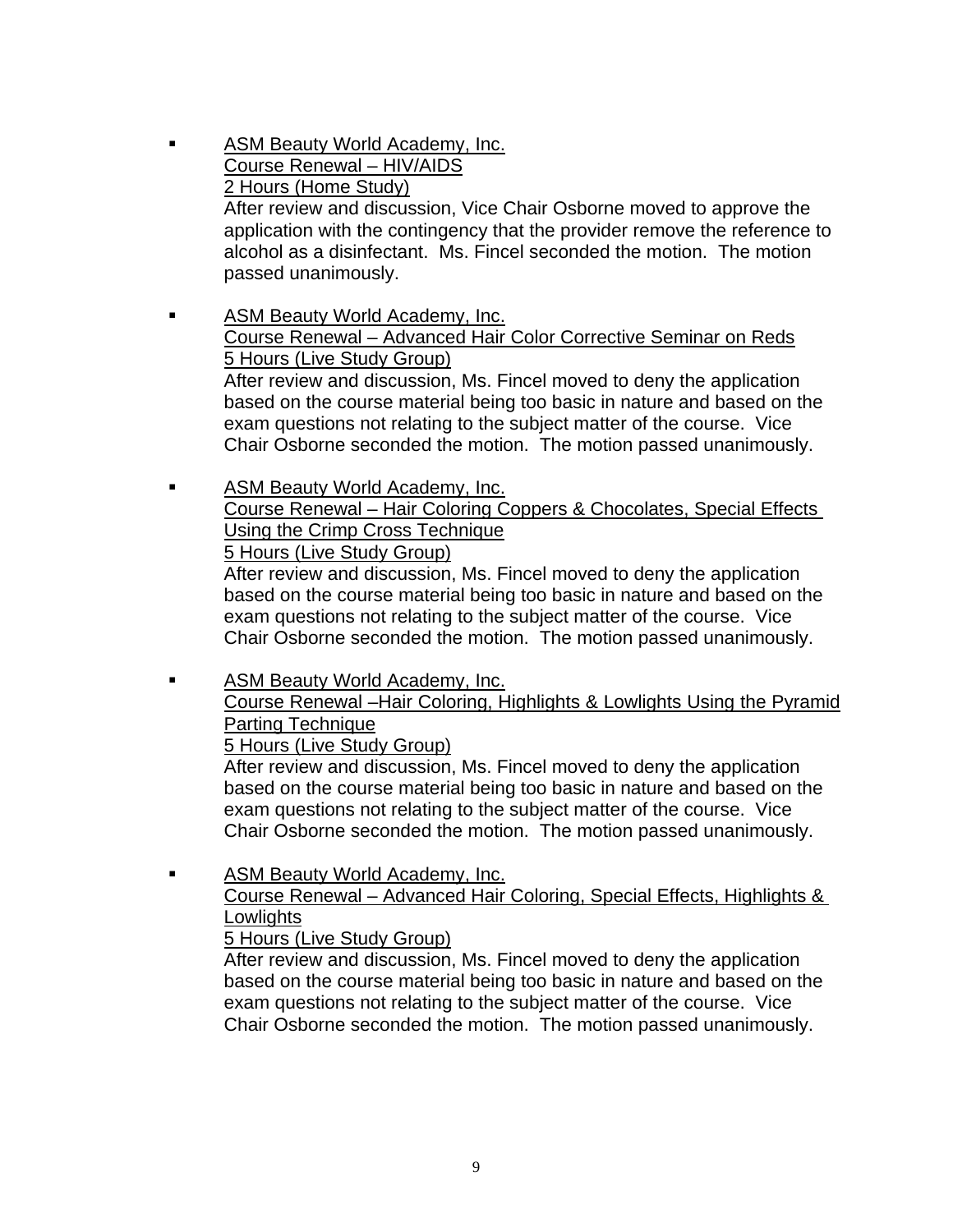- ASM Beauty World Academy, Inc. Course Renewal – HIV/AIDS 2 Hours (Home Study) After review and discussion, Vice Chair Osborne moved to approve the application with the contingency that the provider remove the reference to alcohol as a disinfectant. Ms. Fincel seconded the motion. The motion passed unanimously.
- **ASM Beauty World Academy, Inc.**  Course Renewal – Advanced Hair Color Corrective Seminar on Reds 5 Hours (Live Study Group) After review and discussion, Ms. Fincel moved to deny the application based on the course material being too basic in nature and based on the exam questions not relating to the subject matter of the course. Vice Chair Osborne seconded the motion. The motion passed unanimously.
- **ASM Beauty World Academy, Inc.**  Course Renewal – Hair Coloring Coppers & Chocolates, Special Effects Using the Crimp Cross Technique 5 Hours (Live Study Group)

 After review and discussion, Ms. Fincel moved to deny the application based on the course material being too basic in nature and based on the exam questions not relating to the subject matter of the course. Vice Chair Osborne seconded the motion. The motion passed unanimously.

**ASM Beauty World Academy, Inc.**  Course Renewal –Hair Coloring, Highlights & Lowlights Using the Pyramid Parting Technique 5 Hours (Live Study Group)

 After review and discussion, Ms. Fincel moved to deny the application based on the course material being too basic in nature and based on the exam questions not relating to the subject matter of the course. Vice Chair Osborne seconded the motion. The motion passed unanimously.

**EXECUTE:** ASM Beauty World Academy, Inc. Course Renewal – Advanced Hair Coloring, Special Effects, Highlights & **Lowlights** 5 Hours (Live Study Group)

 After review and discussion, Ms. Fincel moved to deny the application based on the course material being too basic in nature and based on the exam questions not relating to the subject matter of the course. Vice Chair Osborne seconded the motion. The motion passed unanimously.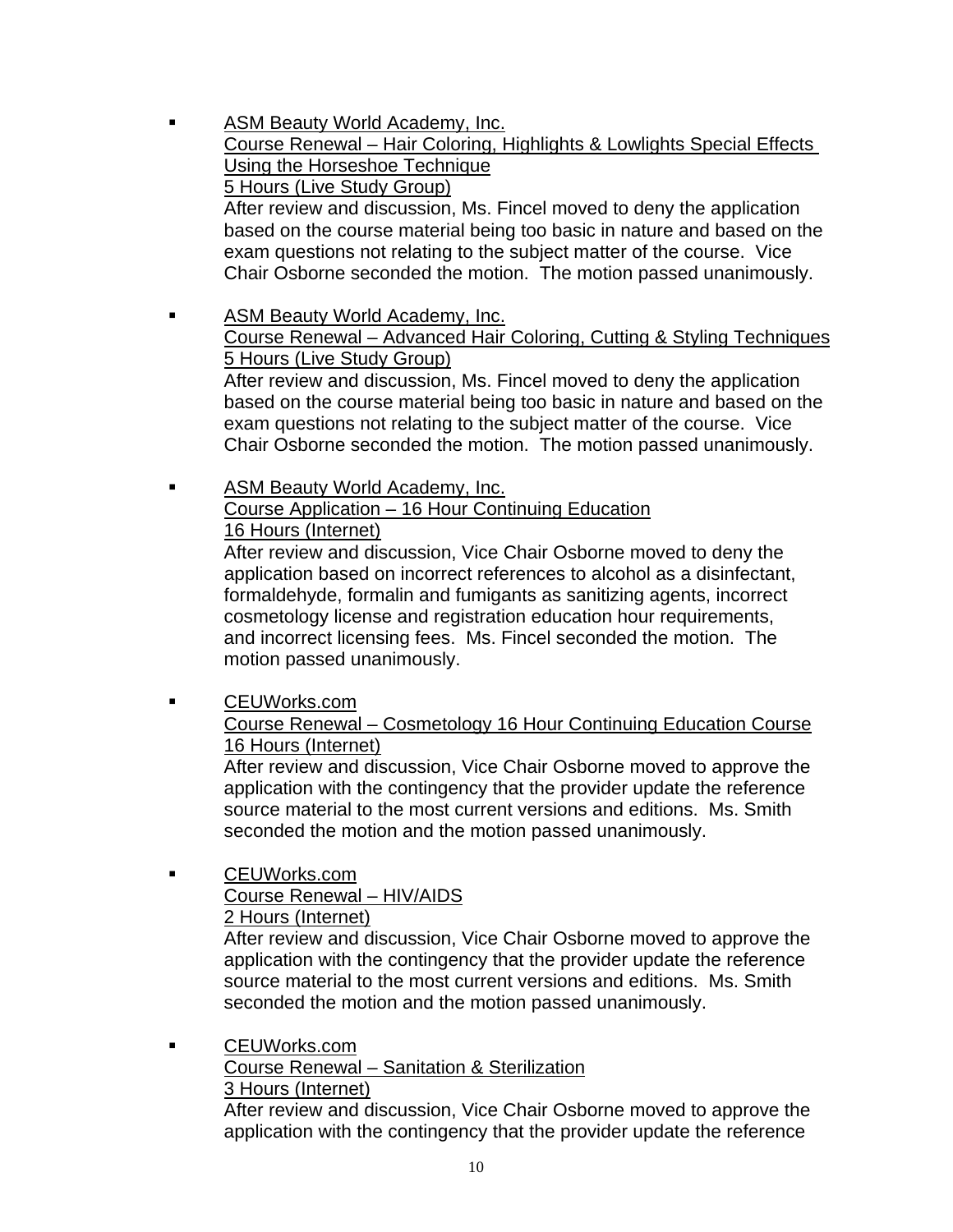- ASM Beauty World Academy, Inc. Course Renewal – Hair Coloring, Highlights & Lowlights Special Effects Using the Horseshoe Technique 5 Hours (Live Study Group) After review and discussion, Ms. Fincel moved to deny the application based on the course material being too basic in nature and based on the exam questions not relating to the subject matter of the course. Vice Chair Osborne seconded the motion. The motion passed unanimously. **ASM Beauty World Academy, Inc.**  Course Renewal – Advanced Hair Coloring, Cutting & Styling Techniques 5 Hours (Live Study Group) After review and discussion, Ms. Fincel moved to deny the application based on the course material being too basic in nature and based on the exam questions not relating to the subject matter of the course. Vice Chair Osborne seconded the motion. The motion passed unanimously.
- **ASM Beauty World Academy, Inc.**  Course Application – 16 Hour Continuing Education 16 Hours (Internet)

 After review and discussion, Vice Chair Osborne moved to deny the application based on incorrect references to alcohol as a disinfectant, formaldehyde, formalin and fumigants as sanitizing agents, incorrect cosmetology license and registration education hour requirements, and incorrect licensing fees. Ms. Fincel seconded the motion. The motion passed unanimously.

 CEUWorks.com Course Renewal – Cosmetology 16 Hour Continuing Education Course 16 Hours (Internet)

 After review and discussion, Vice Chair Osborne moved to approve the application with the contingency that the provider update the reference source material to the most current versions and editions. Ms. Smith seconded the motion and the motion passed unanimously.

 CEUWorks.com Course Renewal – HIV/AIDS 2 Hours (Internet)

 After review and discussion, Vice Chair Osborne moved to approve the application with the contingency that the provider update the reference source material to the most current versions and editions. Ms. Smith seconded the motion and the motion passed unanimously.

 CEUWorks.com Course Renewal – Sanitation & Sterilization 3 Hours (Internet) After review and discussion, Vice Chair Osborne moved to approve the application with the contingency that the provider update the reference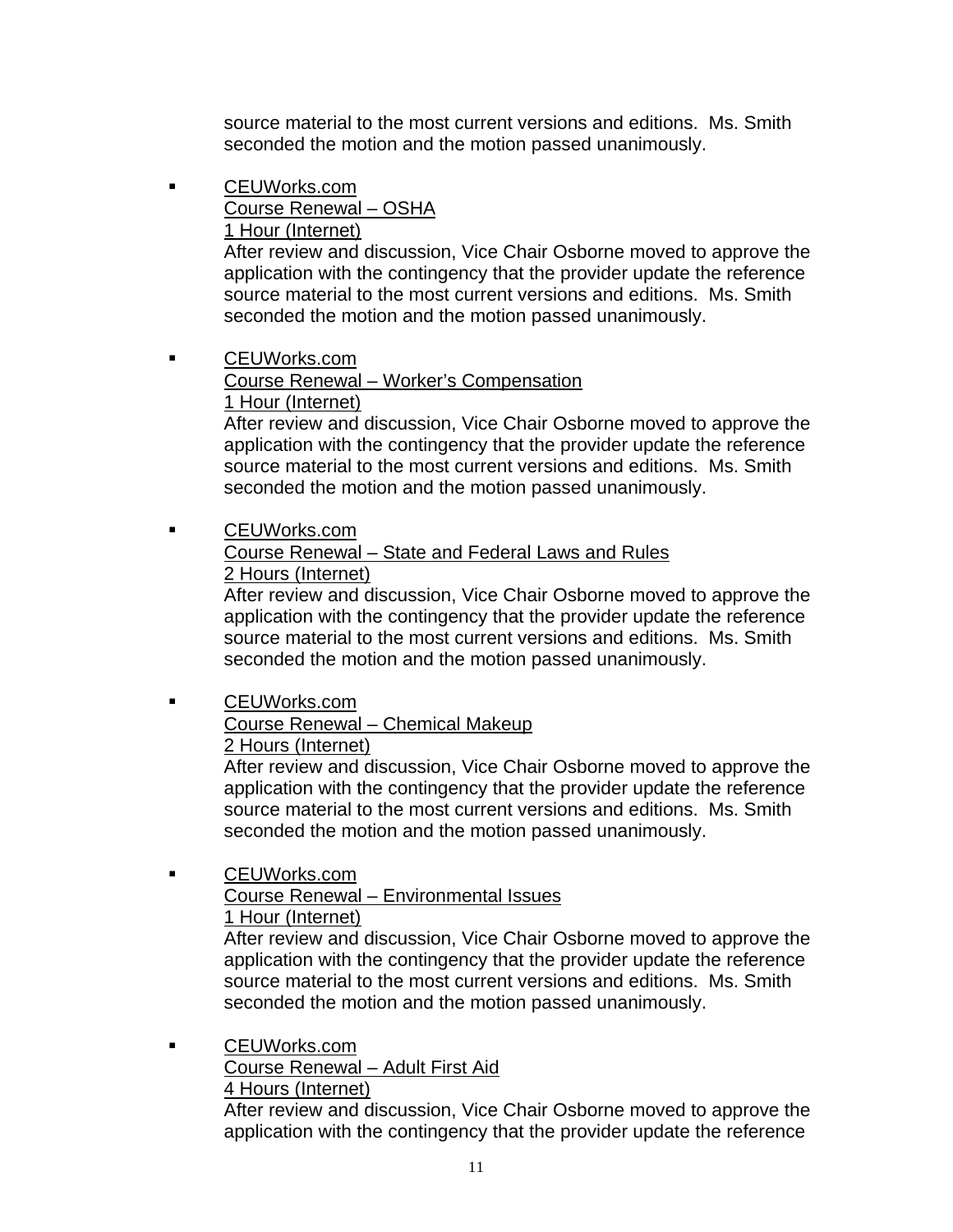source material to the most current versions and editions. Ms. Smith seconded the motion and the motion passed unanimously.

 CEUWorks.com Course Renewal – OSHA 1 Hour (Internet)

 After review and discussion, Vice Chair Osborne moved to approve the application with the contingency that the provider update the reference source material to the most current versions and editions. Ms. Smith seconded the motion and the motion passed unanimously.

 CEUWorks.com Course Renewal – Worker's Compensation 1 Hour (Internet)

 After review and discussion, Vice Chair Osborne moved to approve the application with the contingency that the provider update the reference source material to the most current versions and editions. Ms. Smith seconded the motion and the motion passed unanimously.

# CEUWorks.com Course Renewal – State and Federal Laws and Rules 2 Hours (Internet)

 After review and discussion, Vice Chair Osborne moved to approve the application with the contingency that the provider update the reference source material to the most current versions and editions. Ms. Smith seconded the motion and the motion passed unanimously.

# **CEUWorks.com**  Course Renewal – Chemical Makeup 2 Hours (Internet)

 After review and discussion, Vice Chair Osborne moved to approve the application with the contingency that the provider update the reference source material to the most current versions and editions. Ms. Smith seconded the motion and the motion passed unanimously.

 CEUWorks.com Course Renewal – Environmental Issues 1 Hour (Internet)

 After review and discussion, Vice Chair Osborne moved to approve the application with the contingency that the provider update the reference source material to the most current versions and editions. Ms. Smith seconded the motion and the motion passed unanimously.

 CEUWorks.com Course Renewal – Adult First Aid 4 Hours (Internet) After review and discussion, Vice Chair Osborne moved to approve the application with the contingency that the provider update the reference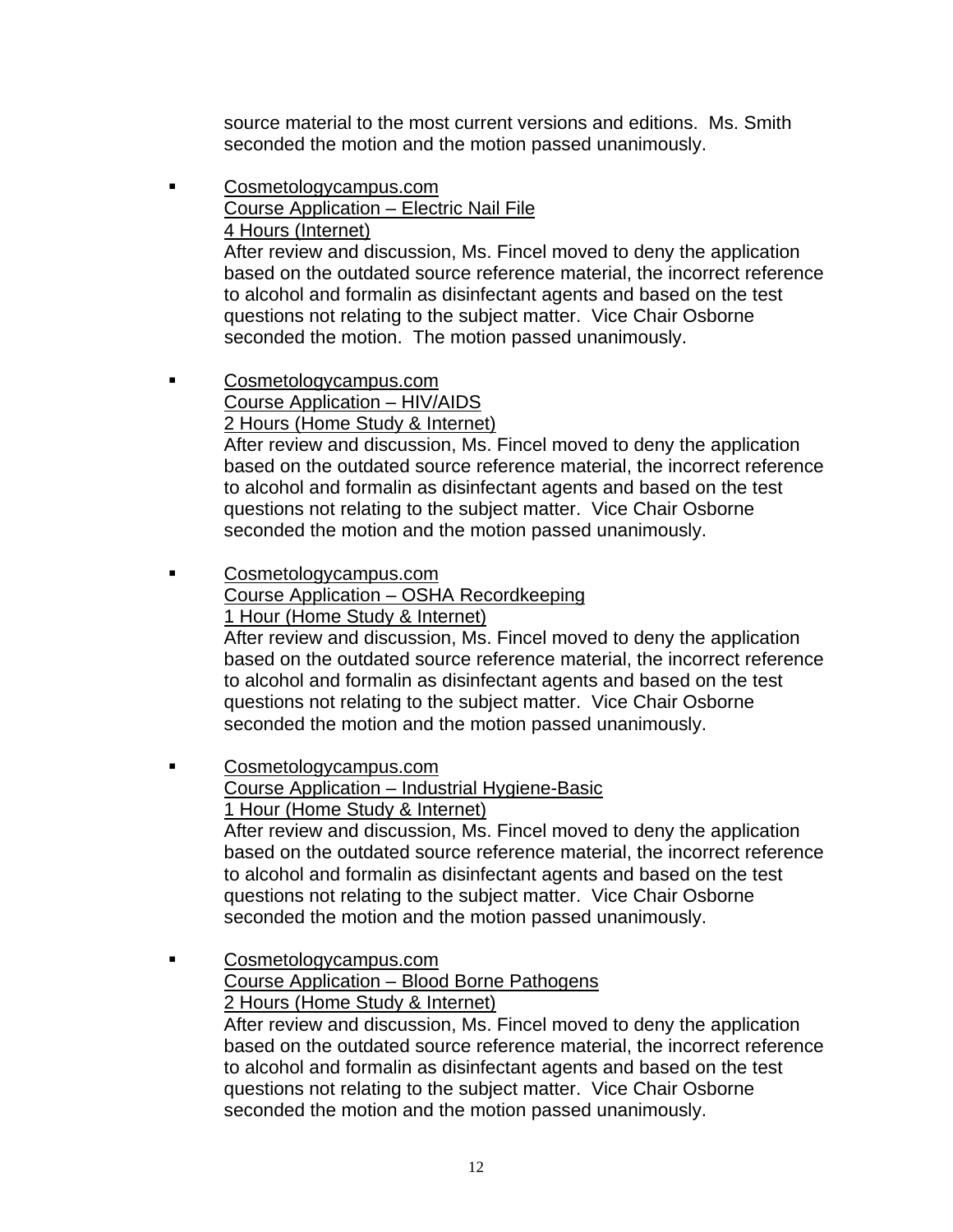source material to the most current versions and editions. Ms. Smith seconded the motion and the motion passed unanimously.

- **Cosmetologycampus.com**  Course Application – Electric Nail File 4 Hours (Internet) After review and discussion, Ms. Fincel moved to deny the application based on the outdated source reference material, the incorrect reference to alcohol and formalin as disinfectant agents and based on the test questions not relating to the subject matter. Vice Chair Osborne seconded the motion. The motion passed unanimously.
- Cosmetologycampus.com Course Application – HIV/AIDS 2 Hours (Home Study & Internet) After review and discussion, Ms. Fincel moved to deny the application based on the outdated source reference material, the incorrect reference to alcohol and formalin as disinfectant agents and based on the test questions not relating to the subject matter. Vice Chair Osborne seconded the motion and the motion passed unanimously.
- Cosmetologycampus.com Course Application – OSHA Recordkeeping 1 Hour (Home Study & Internet) After review and discussion, Ms. Fincel moved to deny the application based on the outdated source reference material, the incorrect reference to alcohol and formalin as disinfectant agents and based on the test questions not relating to the subject matter. Vice Chair Osborne seconded the motion and the motion passed unanimously.
- **EXECOSMETOLOGYCAMPUS.com**  Course Application – Industrial Hygiene-Basic 1 Hour (Home Study & Internet) After review and discussion, Ms. Fincel moved to deny the application based on the outdated source reference material, the incorrect reference to alcohol and formalin as disinfectant agents and based on the test questions not relating to the subject matter. Vice Chair Osborne seconded the motion and the motion passed unanimously. Cosmetologycampus.com
	- Course Application Blood Borne Pathogens 2 Hours (Home Study & Internet) After review and discussion, Ms. Fincel moved to deny the application based on the outdated source reference material, the incorrect reference to alcohol and formalin as disinfectant agents and based on the test questions not relating to the subject matter. Vice Chair Osborne seconded the motion and the motion passed unanimously.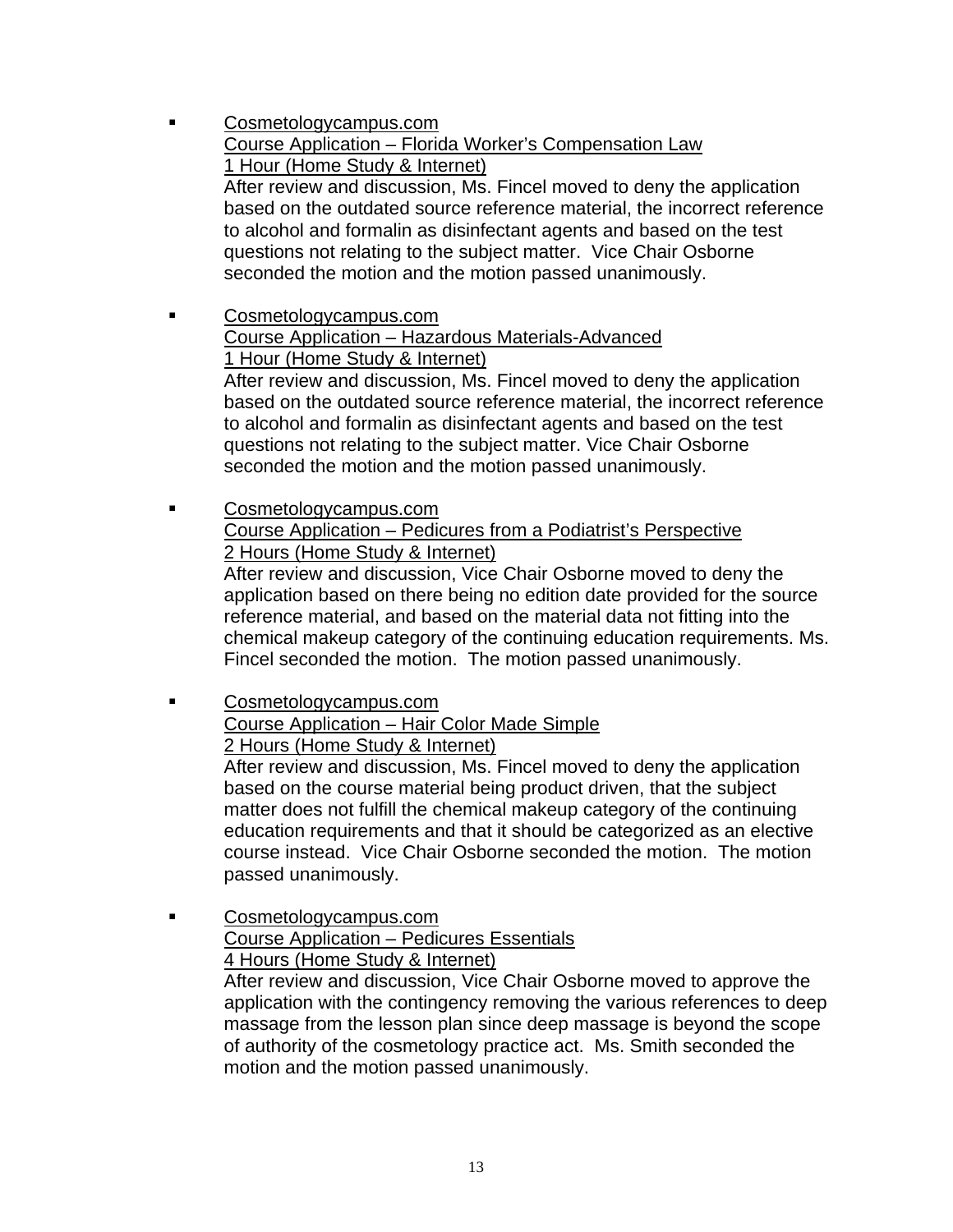- Cosmetologycampus.com Course Application – Florida Worker's Compensation Law 1 Hour (Home Study & Internet) After review and discussion, Ms. Fincel moved to deny the application based on the outdated source reference material, the incorrect reference to alcohol and formalin as disinfectant agents and based on the test questions not relating to the subject matter. Vice Chair Osborne seconded the motion and the motion passed unanimously. Cosmetologycampus.com Course Application – Hazardous Materials-Advanced 1 Hour (Home Study & Internet) After review and discussion, Ms. Fincel moved to deny the application based on the outdated source reference material, the incorrect reference to alcohol and formalin as disinfectant agents and based on the test questions not relating to the subject matter. Vice Chair Osborne seconded the motion and the motion passed unanimously.
- Cosmetologycampus.com Course Application – Pedicures from a Podiatrist's Perspective 2 Hours (Home Study & Internet) After review and discussion, Vice Chair Osborne moved to deny the

 application based on there being no edition date provided for the source reference material, and based on the material data not fitting into the chemical makeup category of the continuing education requirements. Ms. Fincel seconded the motion. The motion passed unanimously.

- Cosmetologycampus.com Course Application – Hair Color Made Simple 2 Hours (Home Study & Internet) After review and discussion, Ms. Fincel moved to deny the application based on the course material being product driven, that the subject matter does not fulfill the chemical makeup category of the continuing education requirements and that it should be categorized as an elective course instead. Vice Chair Osborne seconded the motion. The motion passed unanimously.
- Cosmetologycampus.com Course Application – Pedicures Essentials 4 Hours (Home Study & Internet) After review and discussion, Vice Chair Osborne moved to approve the application with the contingency removing the various references to deep massage from the lesson plan since deep massage is beyond the scope of authority of the cosmetology practice act. Ms. Smith seconded the

motion and the motion passed unanimously.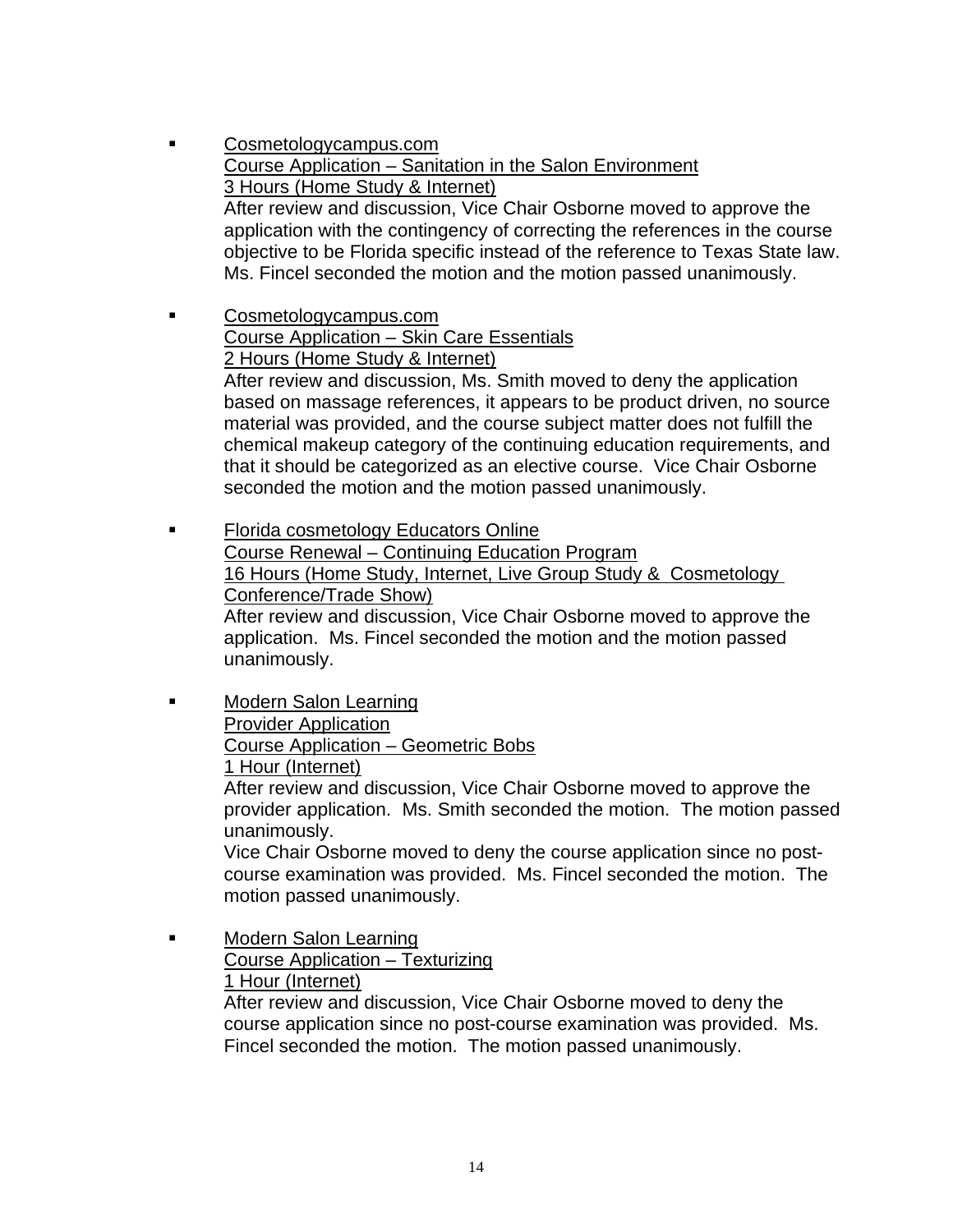- Cosmetologycampus.com Course Application – Sanitation in the Salon Environment 3 Hours (Home Study & Internet) After review and discussion, Vice Chair Osborne moved to approve the application with the contingency of correcting the references in the course objective to be Florida specific instead of the reference to Texas State law. Ms. Fincel seconded the motion and the motion passed unanimously.
- **EXECOSMETOLOGYCAMPUS.com**  Course Application – Skin Care Essentials 2 Hours (Home Study & Internet) After review and discussion, Ms. Smith moved to deny the application based on massage references, it appears to be product driven, no source material was provided, and the course subject matter does not fulfill the chemical makeup category of the continuing education requirements, and that it should be categorized as an elective course. Vice Chair Osborne seconded the motion and the motion passed unanimously.
- Florida cosmetology Educators Online Course Renewal – Continuing Education Program 16 Hours (Home Study, Internet, Live Group Study & Cosmetology Conference/Trade Show) After review and discussion, Vice Chair Osborne moved to approve the application. Ms. Fincel seconded the motion and the motion passed unanimously.

**Example 21 Modern Salon Learning**  Provider Application Course Application – Geometric Bobs 1 Hour (Internet)

> After review and discussion, Vice Chair Osborne moved to approve the provider application. Ms. Smith seconded the motion. The motion passed unanimously.

 Vice Chair Osborne moved to deny the course application since no post course examination was provided. Ms. Fincel seconded the motion. The motion passed unanimously.

**Nodern Salon Learning**  Course Application – Texturizing 1 Hour (Internet) After review and discussion, Vice Chair Osborne moved to deny the course application since no post-course examination was provided. Ms. Fincel seconded the motion. The motion passed unanimously.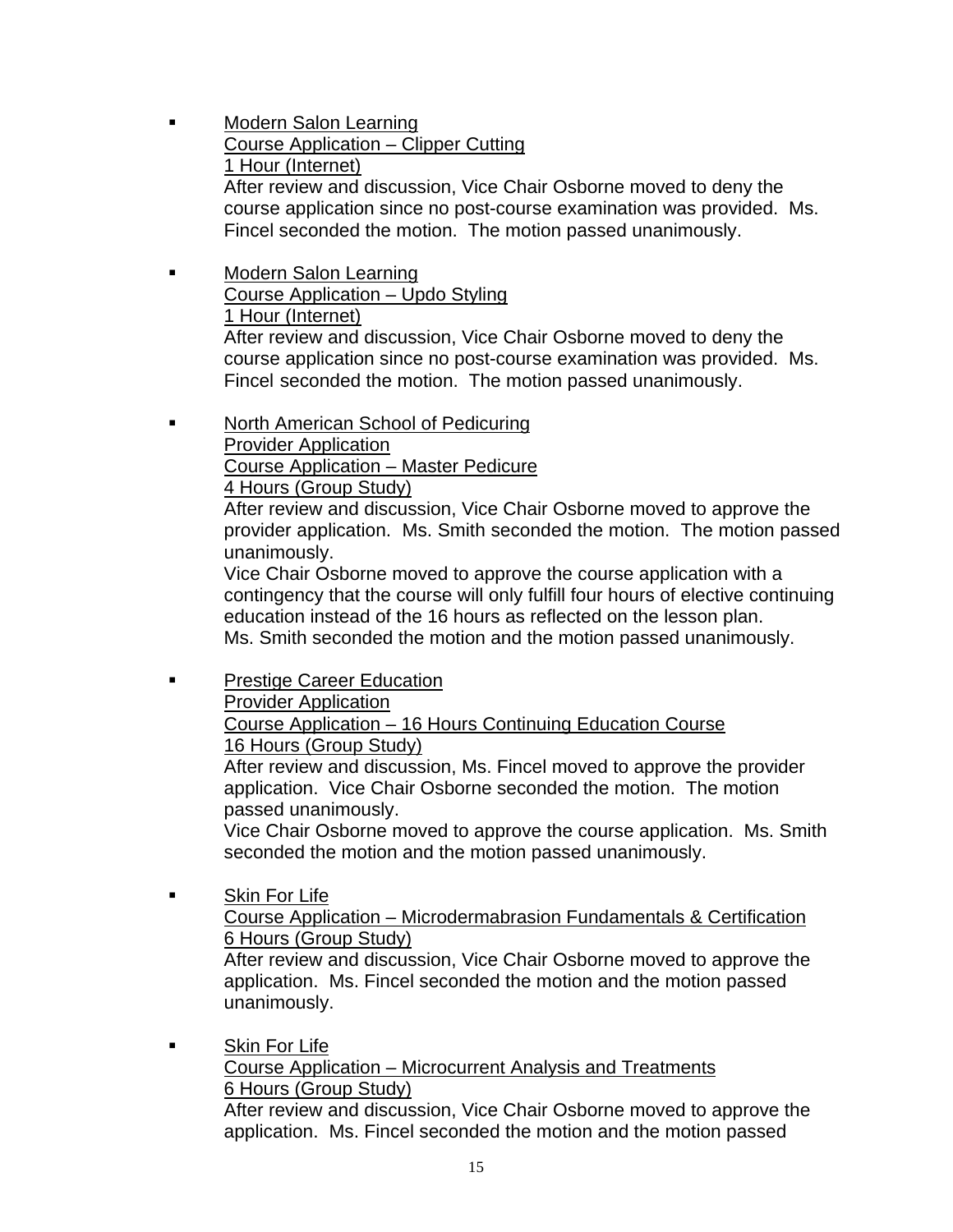- **EXECUTE:** Modern Salon Learning Course Application – Clipper Cutting 1 Hour (Internet) After review and discussion, Vice Chair Osborne moved to deny the course application since no post-course examination was provided. Ms. Fincel seconded the motion. The motion passed unanimously.
- **Nodern Salon Learning**  Course Application – Updo Styling 1 Hour (Internet)

 After review and discussion, Vice Chair Osborne moved to deny the course application since no post-course examination was provided. Ms. Fincel seconded the motion. The motion passed unanimously.

**North American School of Pedicuring** 

**Provider Application** 

Course Application – Master Pedicure

4 Hours (Group Study)

 After review and discussion, Vice Chair Osborne moved to approve the provider application. Ms. Smith seconded the motion. The motion passed unanimously.

 Vice Chair Osborne moved to approve the course application with a contingency that the course will only fulfill four hours of elective continuing education instead of the 16 hours as reflected on the lesson plan. Ms. Smith seconded the motion and the motion passed unanimously.

**Prestige Career Education** 

Provider Application

 Course Application – 16 Hours Continuing Education Course 16 Hours (Group Study)

 After review and discussion, Ms. Fincel moved to approve the provider application. Vice Chair Osborne seconded the motion. The motion passed unanimously.

 Vice Chair Osborne moved to approve the course application. Ms. Smith seconded the motion and the motion passed unanimously.

 Skin For Life Course Application – Microdermabrasion Fundamentals & Certification 6 Hours (Group Study) After review and discussion, Vice Chair Osborne moved to approve the application. Ms. Fincel seconded the motion and the motion passed unanimously.

**Skin For Life**  Course Application – Microcurrent Analysis and Treatments 6 Hours (Group Study) After review and discussion, Vice Chair Osborne moved to approve the application. Ms. Fincel seconded the motion and the motion passed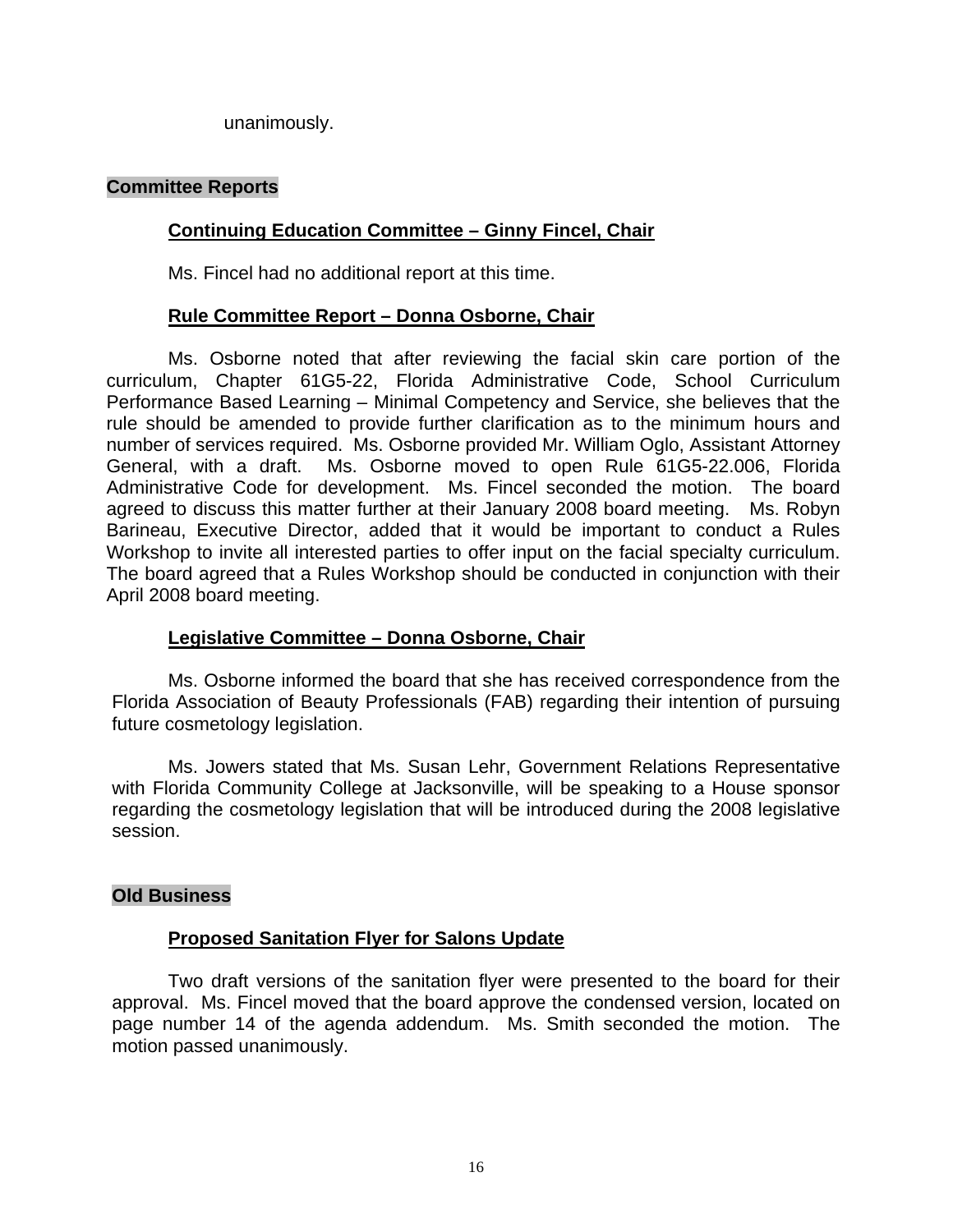unanimously.

# **Committee Reports**

# **Continuing Education Committee – Ginny Fincel, Chair**

Ms. Fincel had no additional report at this time.

# **Rule Committee Report – Donna Osborne, Chair**

 Ms. Osborne noted that after reviewing the facial skin care portion of the curriculum, Chapter 61G5-22, Florida Administrative Code, School Curriculum Performance Based Learning – Minimal Competency and Service, she believes that the rule should be amended to provide further clarification as to the minimum hours and number of services required. Ms. Osborne provided Mr. William Oglo, Assistant Attorney General, with a draft. Ms. Osborne moved to open Rule 61G5-22.006, Florida Administrative Code for development. Ms. Fincel seconded the motion. The board agreed to discuss this matter further at their January 2008 board meeting. Ms. Robyn Barineau, Executive Director, added that it would be important to conduct a Rules Workshop to invite all interested parties to offer input on the facial specialty curriculum. The board agreed that a Rules Workshop should be conducted in conjunction with their April 2008 board meeting.

# **Legislative Committee – Donna Osborne, Chair**

 Ms. Osborne informed the board that she has received correspondence from the Florida Association of Beauty Professionals (FAB) regarding their intention of pursuing future cosmetology legislation.

Ms. Jowers stated that Ms. Susan Lehr, Government Relations Representative with Florida Community College at Jacksonville, will be speaking to a House sponsor regarding the cosmetology legislation that will be introduced during the 2008 legislative session.

# **Old Business**

# **Proposed Sanitation Flyer for Salons Update**

 Two draft versions of the sanitation flyer were presented to the board for their approval. Ms. Fincel moved that the board approve the condensed version, located on page number 14 of the agenda addendum. Ms. Smith seconded the motion. The motion passed unanimously.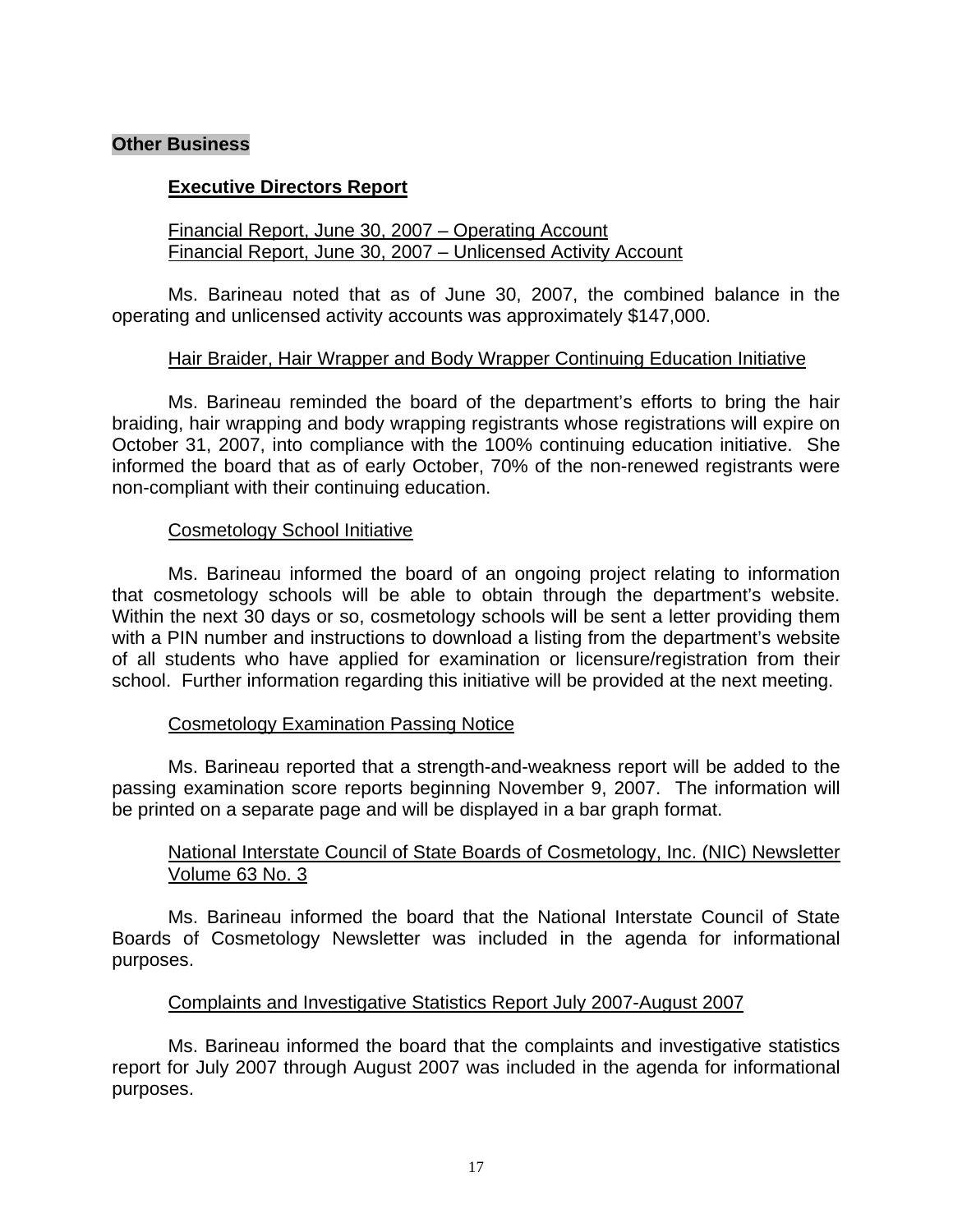#### **Other Business**

#### **Executive Directors Report**

#### Financial Report, June 30, 2007 – Operating Account Financial Report, June 30, 2007 – Unlicensed Activity Account

 Ms. Barineau noted that as of June 30, 2007, the combined balance in the operating and unlicensed activity accounts was approximately \$147,000.

#### Hair Braider, Hair Wrapper and Body Wrapper Continuing Education Initiative

 Ms. Barineau reminded the board of the department's efforts to bring the hair braiding, hair wrapping and body wrapping registrants whose registrations will expire on October 31, 2007, into compliance with the 100% continuing education initiative. She informed the board that as of early October, 70% of the non-renewed registrants were non-compliant with their continuing education.

#### Cosmetology School Initiative

 Ms. Barineau informed the board of an ongoing project relating to information that cosmetology schools will be able to obtain through the department's website. Within the next 30 days or so, cosmetology schools will be sent a letter providing them with a PIN number and instructions to download a listing from the department's website of all students who have applied for examination or licensure/registration from their school. Further information regarding this initiative will be provided at the next meeting.

# Cosmetology Examination Passing Notice

 Ms. Barineau reported that a strength-and-weakness report will be added to the passing examination score reports beginning November 9, 2007. The information will be printed on a separate page and will be displayed in a bar graph format.

# National Interstate Council of State Boards of Cosmetology, Inc. (NIC) Newsletter Volume 63 No. 3

 Ms. Barineau informed the board that the National Interstate Council of State Boards of Cosmetology Newsletter was included in the agenda for informational purposes.

# Complaints and Investigative Statistics Report July 2007-August 2007

 Ms. Barineau informed the board that the complaints and investigative statistics report for July 2007 through August 2007 was included in the agenda for informational purposes.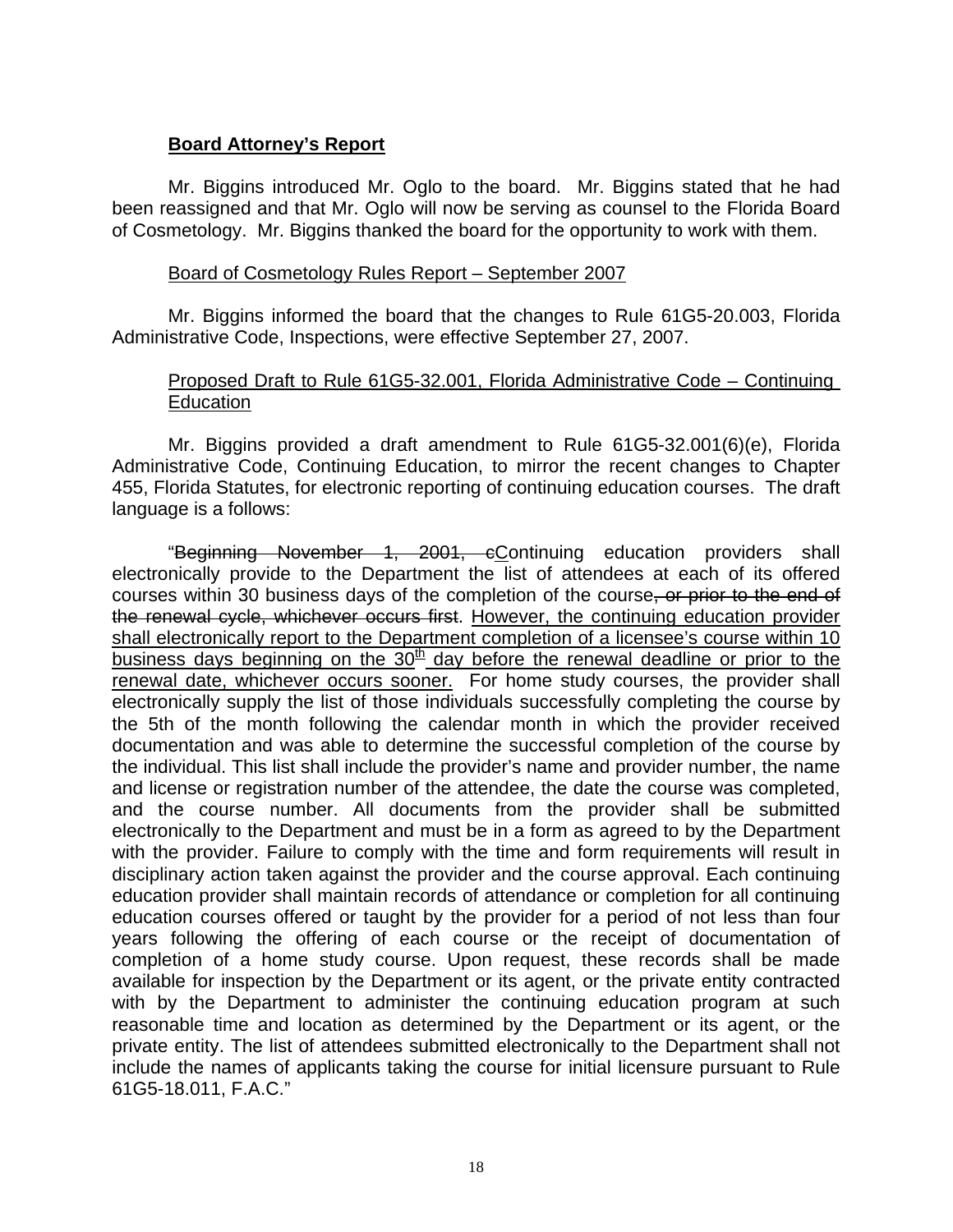# **Board Attorney's Report**

 Mr. Biggins introduced Mr. Oglo to the board. Mr. Biggins stated that he had been reassigned and that Mr. Oglo will now be serving as counsel to the Florida Board of Cosmetology. Mr. Biggins thanked the board for the opportunity to work with them.

#### Board of Cosmetology Rules Report – September 2007

 Mr. Biggins informed the board that the changes to Rule 61G5-20.003, Florida Administrative Code, Inspections, were effective September 27, 2007.

#### Proposed Draft to Rule 61G5-32.001, Florida Administrative Code – Continuing **Education**

 Mr. Biggins provided a draft amendment to Rule 61G5-32.001(6)(e), Florida Administrative Code, Continuing Education, to mirror the recent changes to Chapter 455, Florida Statutes, for electronic reporting of continuing education courses. The draft language is a follows:

 "Beginning November 1, 2001, cContinuing education providers shall electronically provide to the Department the list of attendees at each of its offered courses within 30 business days of the completion of the course, or prior to the end of the renewal cycle, whichever occurs first. However, the continuing education provider shall electronically report to the Department completion of a licensee's course within 10 business days beginning on the  $30<sup>th</sup>$  day before the renewal deadline or prior to the renewal date, whichever occurs sooner. For home study courses, the provider shall electronically supply the list of those individuals successfully completing the course by the 5th of the month following the calendar month in which the provider received documentation and was able to determine the successful completion of the course by the individual. This list shall include the provider's name and provider number, the name and license or registration number of the attendee, the date the course was completed, and the course number. All documents from the provider shall be submitted electronically to the Department and must be in a form as agreed to by the Department with the provider. Failure to comply with the time and form requirements will result in disciplinary action taken against the provider and the course approval. Each continuing education provider shall maintain records of attendance or completion for all continuing education courses offered or taught by the provider for a period of not less than four years following the offering of each course or the receipt of documentation of completion of a home study course. Upon request, these records shall be made available for inspection by the Department or its agent, or the private entity contracted with by the Department to administer the continuing education program at such reasonable time and location as determined by the Department or its agent, or the private entity. The list of attendees submitted electronically to the Department shall not include the names of applicants taking the course for initial licensure pursuant to Rule 61G5-18.011, F.A.C."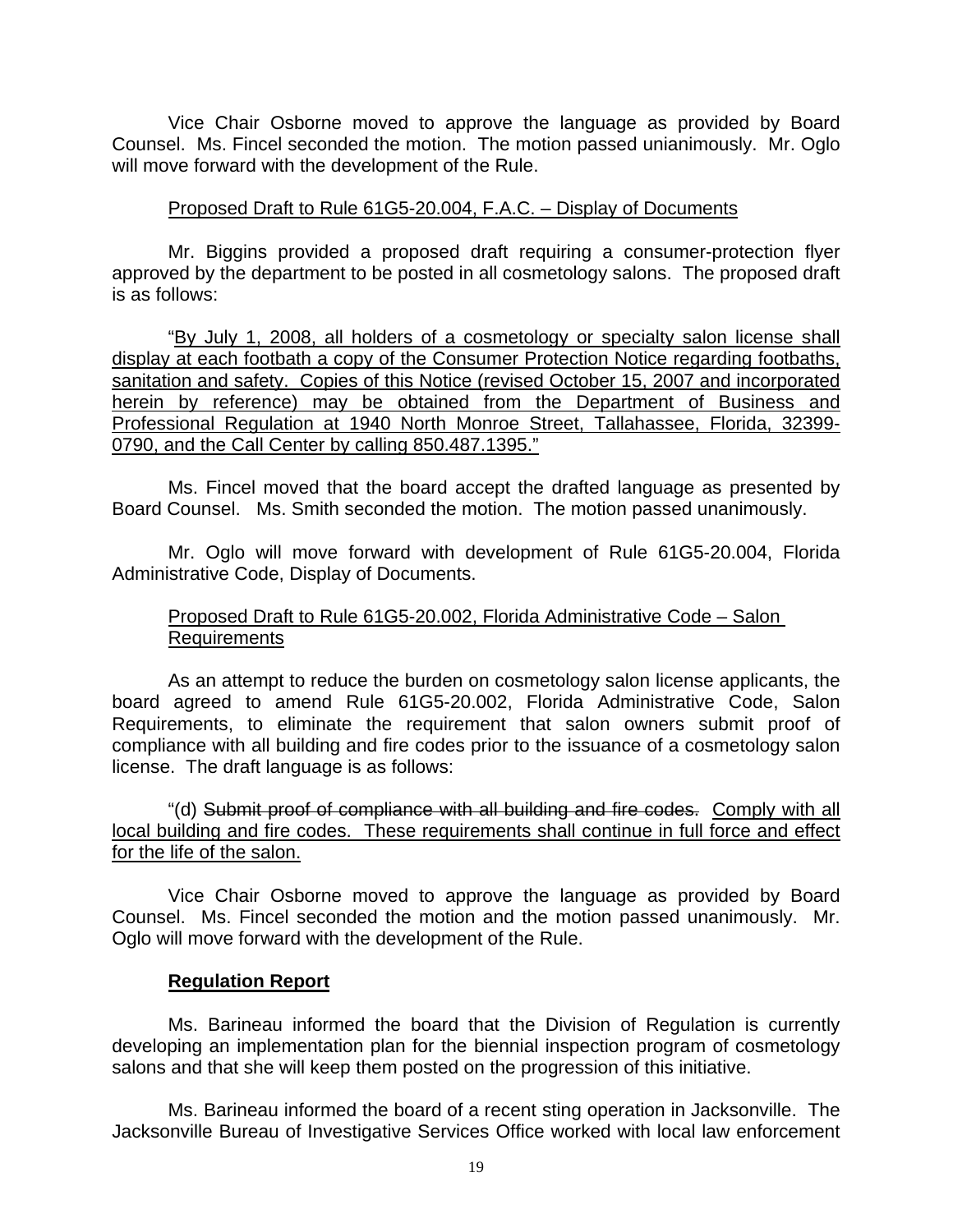Vice Chair Osborne moved to approve the language as provided by Board Counsel. Ms. Fincel seconded the motion. The motion passed unianimously. Mr. Oglo will move forward with the development of the Rule.

#### Proposed Draft to Rule 61G5-20.004, F.A.C. – Display of Documents

 Mr. Biggins provided a proposed draft requiring a consumer-protection flyer approved by the department to be posted in all cosmetology salons. The proposed draft is as follows:

 "By July 1, 2008, all holders of a cosmetology or specialty salon license shall display at each footbath a copy of the Consumer Protection Notice regarding footbaths, sanitation and safety. Copies of this Notice (revised October 15, 2007 and incorporated herein by reference) may be obtained from the Department of Business and Professional Regulation at 1940 North Monroe Street, Tallahassee, Florida, 32399- 0790, and the Call Center by calling 850.487.1395."

 Ms. Fincel moved that the board accept the drafted language as presented by Board Counsel. Ms. Smith seconded the motion. The motion passed unanimously.

 Mr. Oglo will move forward with development of Rule 61G5-20.004, Florida Administrative Code, Display of Documents.

# Proposed Draft to Rule 61G5-20.002, Florida Administrative Code – Salon Requirements

 As an attempt to reduce the burden on cosmetology salon license applicants, the board agreed to amend Rule 61G5-20.002, Florida Administrative Code, Salon Requirements, to eliminate the requirement that salon owners submit proof of compliance with all building and fire codes prior to the issuance of a cosmetology salon license. The draft language is as follows:

 "(d) Submit proof of compliance with all building and fire codes. Comply with all local building and fire codes. These requirements shall continue in full force and effect for the life of the salon.

 Vice Chair Osborne moved to approve the language as provided by Board Counsel. Ms. Fincel seconded the motion and the motion passed unanimously. Mr. Oglo will move forward with the development of the Rule.

# **Regulation Report**

 Ms. Barineau informed the board that the Division of Regulation is currently developing an implementation plan for the biennial inspection program of cosmetology salons and that she will keep them posted on the progression of this initiative.

 Ms. Barineau informed the board of a recent sting operation in Jacksonville. The Jacksonville Bureau of Investigative Services Office worked with local law enforcement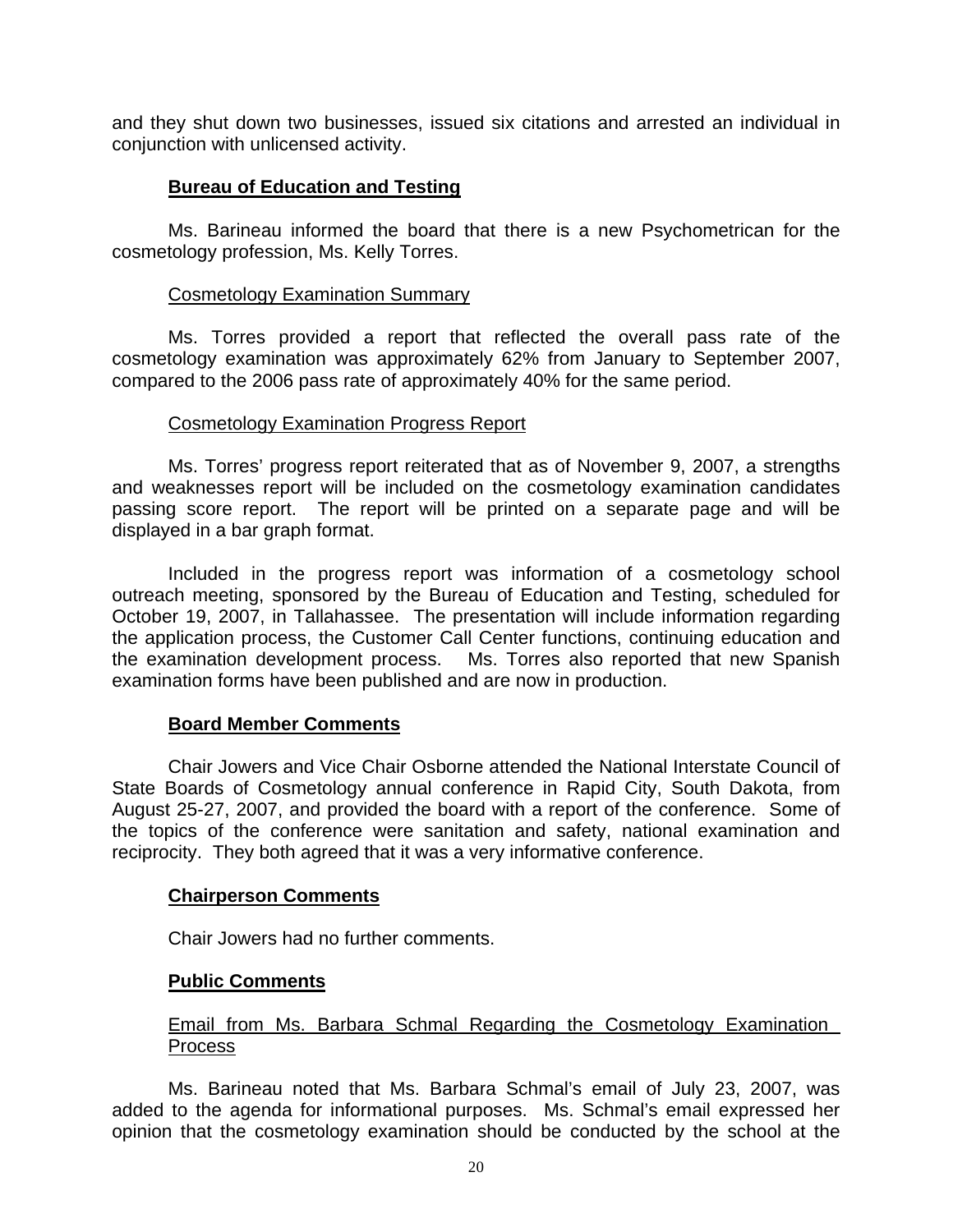and they shut down two businesses, issued six citations and arrested an individual in conjunction with unlicensed activity.

# **Bureau of Education and Testing**

 Ms. Barineau informed the board that there is a new Psychometrican for the cosmetology profession, Ms. Kelly Torres.

#### Cosmetology Examination Summary

 Ms. Torres provided a report that reflected the overall pass rate of the cosmetology examination was approximately 62% from January to September 2007, compared to the 2006 pass rate of approximately 40% for the same period.

#### Cosmetology Examination Progress Report

 Ms. Torres' progress report reiterated that as of November 9, 2007, a strengths and weaknesses report will be included on the cosmetology examination candidates passing score report. The report will be printed on a separate page and will be displayed in a bar graph format.

 Included in the progress report was information of a cosmetology school outreach meeting, sponsored by the Bureau of Education and Testing, scheduled for October 19, 2007, in Tallahassee. The presentation will include information regarding the application process, the Customer Call Center functions, continuing education and the examination development process. Ms. Torres also reported that new Spanish examination forms have been published and are now in production.

# **Board Member Comments**

 Chair Jowers and Vice Chair Osborne attended the National Interstate Council of State Boards of Cosmetology annual conference in Rapid City, South Dakota, from August 25-27, 2007, and provided the board with a report of the conference. Some of the topics of the conference were sanitation and safety, national examination and reciprocity. They both agreed that it was a very informative conference.

# **Chairperson Comments**

Chair Jowers had no further comments.

# **Public Comments**

# Email from Ms. Barbara Schmal Regarding the Cosmetology Examination Process

 Ms. Barineau noted that Ms. Barbara Schmal's email of July 23, 2007, was added to the agenda for informational purposes. Ms. Schmal's email expressed her opinion that the cosmetology examination should be conducted by the school at the